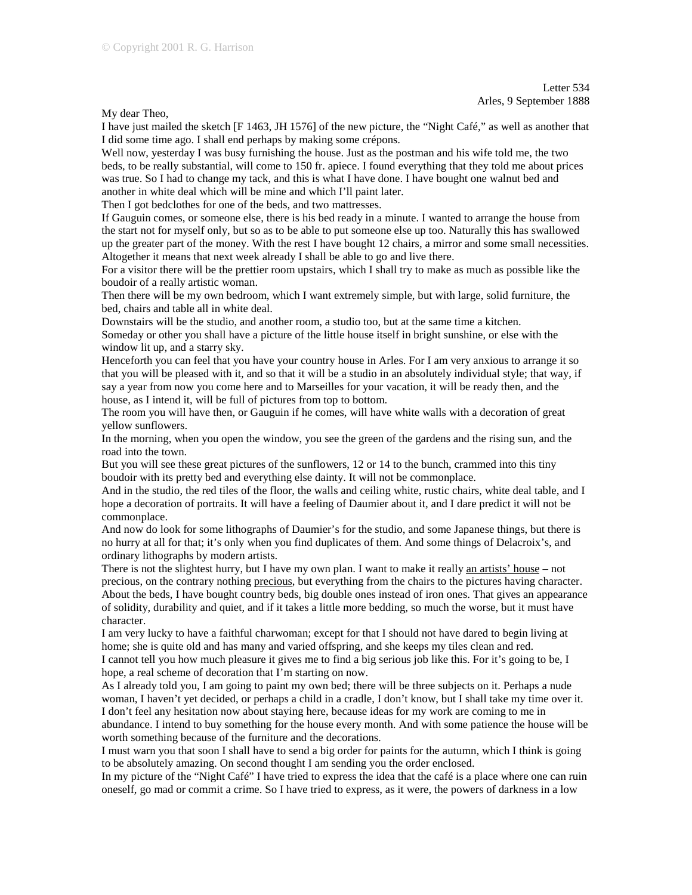My dear Theo,

I have just mailed the sketch [F 1463, JH 1576] of the new picture, the "Night Café," as well as another that I did some time ago. I shall end perhaps by making some crépons.

Well now, yesterday I was busy furnishing the house. Just as the postman and his wife told me, the two beds, to be really substantial, will come to 150 fr. apiece. I found everything that they told me about prices was true. So I had to change my tack, and this is what I have done. I have bought one walnut bed and another in white deal which will be mine and which I'll paint later.

Then I got bedclothes for one of the beds, and two mattresses.

If Gauguin comes, or someone else, there is his bed ready in a minute. I wanted to arrange the house from the start not for myself only, but so as to be able to put someone else up too. Naturally this has swallowed up the greater part of the money. With the rest I have bought 12 chairs, a mirror and some small necessities. Altogether it means that next week already I shall be able to go and live there.

For a visitor there will be the prettier room upstairs, which I shall try to make as much as possible like the boudoir of a really artistic woman.

Then there will be my own bedroom, which I want extremely simple, but with large, solid furniture, the bed, chairs and table all in white deal.

Downstairs will be the studio, and another room, a studio too, but at the same time a kitchen. Someday or other you shall have a picture of the little house itself in bright sunshine, or else with the window lit up, and a starry sky.

Henceforth you can feel that you have your country house in Arles. For I am very anxious to arrange it so that you will be pleased with it, and so that it will be a studio in an absolutely individual style; that way, if say a year from now you come here and to Marseilles for your vacation, it will be ready then, and the house, as I intend it, will be full of pictures from top to bottom.

The room you will have then, or Gauguin if he comes, will have white walls with a decoration of great yellow sunflowers.

In the morning, when you open the window, you see the green of the gardens and the rising sun, and the road into the town.

But you will see these great pictures of the sunflowers, 12 or 14 to the bunch, crammed into this tiny boudoir with its pretty bed and everything else dainty. It will not be commonplace.

And in the studio, the red tiles of the floor, the walls and ceiling white, rustic chairs, white deal table, and I hope a decoration of portraits. It will have a feeling of Daumier about it, and I dare predict it will not be commonplace.

And now do look for some lithographs of Daumier's for the studio, and some Japanese things, but there is no hurry at all for that; it's only when you find duplicates of them. And some things of Delacroix's, and ordinary lithographs by modern artists.

There is not the slightest hurry, but I have my own plan. I want to make it really an artists' house – not precious, on the contrary nothing precious, but everything from the chairs to the pictures having character. About the beds, I have bought country beds, big double ones instead of iron ones. That gives an appearance of solidity, durability and quiet, and if it takes a little more bedding, so much the worse, but it must have character.

I am very lucky to have a faithful charwoman; except for that I should not have dared to begin living at home; she is quite old and has many and varied offspring, and she keeps my tiles clean and red.

I cannot tell you how much pleasure it gives me to find a big serious job like this. For it's going to be, I hope, a real scheme of decoration that I'm starting on now.

As I already told you, I am going to paint my own bed; there will be three subjects on it. Perhaps a nude woman, I haven't yet decided, or perhaps a child in a cradle, I don't know, but I shall take my time over it. I don't feel any hesitation now about staying here, because ideas for my work are coming to me in abundance. I intend to buy something for the house every month. And with some patience the house will be worth something because of the furniture and the decorations.

I must warn you that soon I shall have to send a big order for paints for the autumn, which I think is going to be absolutely amazing. On second thought I am sending you the order enclosed.

In my picture of the "Night Café" I have tried to express the idea that the café is a place where one can ruin oneself, go mad or commit a crime. So I have tried to express, as it were, the powers of darkness in a low